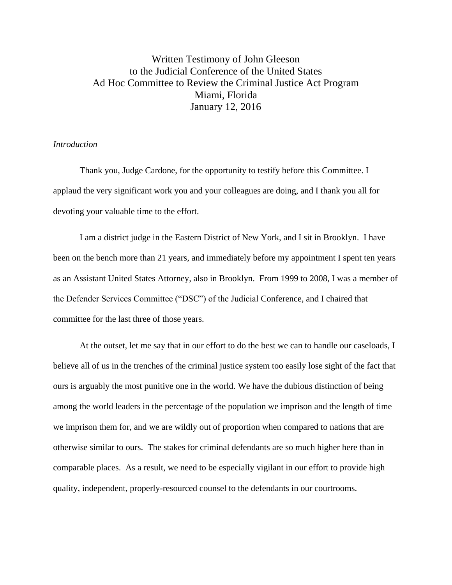# Written Testimony of John Gleeson to the Judicial Conference of the United States Ad Hoc Committee to Review the Criminal Justice Act Program Miami, Florida January 12, 2016

# *Introduction*

Thank you, Judge Cardone, for the opportunity to testify before this Committee. I applaud the very significant work you and your colleagues are doing, and I thank you all for devoting your valuable time to the effort.

I am a district judge in the Eastern District of New York, and I sit in Brooklyn. I have been on the bench more than 21 years, and immediately before my appointment I spent ten years as an Assistant United States Attorney, also in Brooklyn. From 1999 to 2008, I was a member of the Defender Services Committee ("DSC") of the Judicial Conference, and I chaired that committee for the last three of those years.

 At the outset, let me say that in our effort to do the best we can to handle our caseloads, I believe all of us in the trenches of the criminal justice system too easily lose sight of the fact that ours is arguably the most punitive one in the world. We have the dubious distinction of being among the world leaders in the percentage of the population we imprison and the length of time we imprison them for, and we are wildly out of proportion when compared to nations that are otherwise similar to ours. The stakes for criminal defendants are so much higher here than in comparable places. As a result, we need to be especially vigilant in our effort to provide high quality, independent, properly-resourced counsel to the defendants in our courtrooms.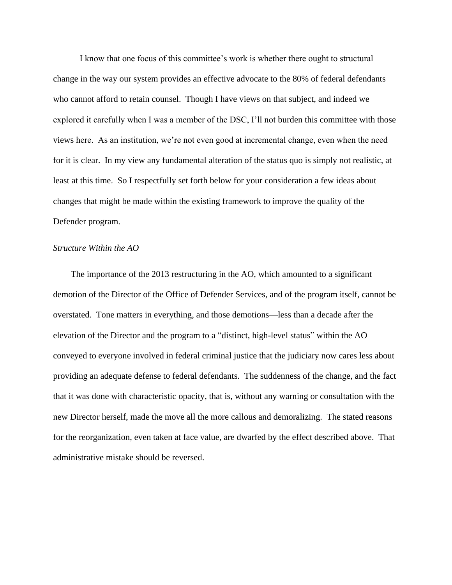I know that one focus of this committee's work is whether there ought to structural change in the way our system provides an effective advocate to the 80% of federal defendants who cannot afford to retain counsel. Though I have views on that subject, and indeed we explored it carefully when I was a member of the DSC, I'll not burden this committee with those views here. As an institution, we're not even good at incremental change, even when the need for it is clear. In my view any fundamental alteration of the status quo is simply not realistic, at least at this time. So I respectfully set forth below for your consideration a few ideas about changes that might be made within the existing framework to improve the quality of the Defender program.

#### *Structure Within the AO*

 The importance of the 2013 restructuring in the AO, which amounted to a significant demotion of the Director of the Office of Defender Services, and of the program itself, cannot be overstated. Tone matters in everything, and those demotions—less than a decade after the elevation of the Director and the program to a "distinct, high-level status" within the AO conveyed to everyone involved in federal criminal justice that the judiciary now cares less about providing an adequate defense to federal defendants. The suddenness of the change, and the fact that it was done with characteristic opacity, that is, without any warning or consultation with the new Director herself, made the move all the more callous and demoralizing. The stated reasons for the reorganization, even taken at face value, are dwarfed by the effect described above. That administrative mistake should be reversed.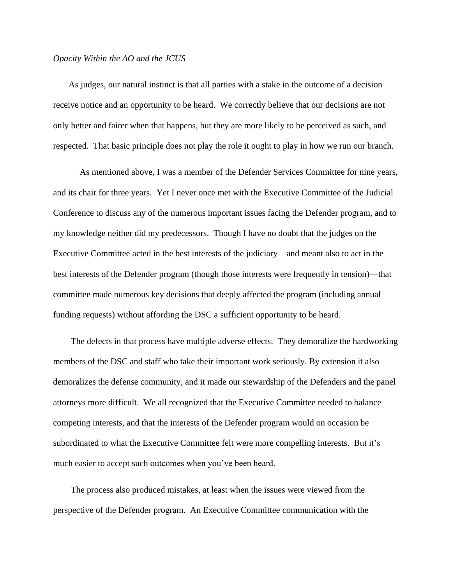#### *Opacity Within the AO and the JCUS*

 As judges, our natural instinct is that all parties with a stake in the outcome of a decision receive notice and an opportunity to be heard. We correctly believe that our decisions are not only better and fairer when that happens, but they are more likely to be perceived as such, and respected. That basic principle does not play the role it ought to play in how we run our branch.

As mentioned above, I was a member of the Defender Services Committee for nine years, and its chair for three years. Yet I never once met with the Executive Committee of the Judicial Conference to discuss any of the numerous important issues facing the Defender program, and to my knowledge neither did my predecessors. Though I have no doubt that the judges on the Executive Committee acted in the best interests of the judiciary—and meant also to act in the best interests of the Defender program (though those interests were frequently in tension)—that committee made numerous key decisions that deeply affected the program (including annual funding requests) without affording the DSC a sufficient opportunity to be heard.

 The defects in that process have multiple adverse effects. They demoralize the hardworking members of the DSC and staff who take their important work seriously. By extension it also demoralizes the defense community, and it made our stewardship of the Defenders and the panel attorneys more difficult. We all recognized that the Executive Committee needed to balance competing interests, and that the interests of the Defender program would on occasion be subordinated to what the Executive Committee felt were more compelling interests. But it's much easier to accept such outcomes when you've been heard.

 The process also produced mistakes, at least when the issues were viewed from the perspective of the Defender program. An Executive Committee communication with the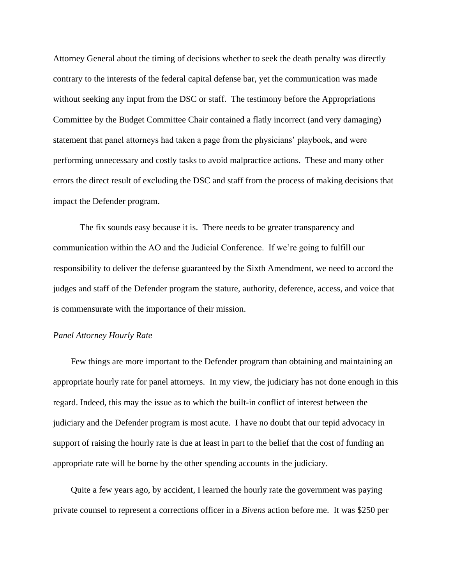Attorney General about the timing of decisions whether to seek the death penalty was directly contrary to the interests of the federal capital defense bar, yet the communication was made without seeking any input from the DSC or staff. The testimony before the Appropriations Committee by the Budget Committee Chair contained a flatly incorrect (and very damaging) statement that panel attorneys had taken a page from the physicians' playbook, and were performing unnecessary and costly tasks to avoid malpractice actions. These and many other errors the direct result of excluding the DSC and staff from the process of making decisions that impact the Defender program.

The fix sounds easy because it is. There needs to be greater transparency and communication within the AO and the Judicial Conference. If we're going to fulfill our responsibility to deliver the defense guaranteed by the Sixth Amendment, we need to accord the judges and staff of the Defender program the stature, authority, deference, access, and voice that is commensurate with the importance of their mission.

## *Panel Attorney Hourly Rate*

 Few things are more important to the Defender program than obtaining and maintaining an appropriate hourly rate for panel attorneys. In my view, the judiciary has not done enough in this regard. Indeed, this may the issue as to which the built-in conflict of interest between the judiciary and the Defender program is most acute. I have no doubt that our tepid advocacy in support of raising the hourly rate is due at least in part to the belief that the cost of funding an appropriate rate will be borne by the other spending accounts in the judiciary.

 Quite a few years ago, by accident, I learned the hourly rate the government was paying private counsel to represent a corrections officer in a *Bivens* action before me. It was \$250 per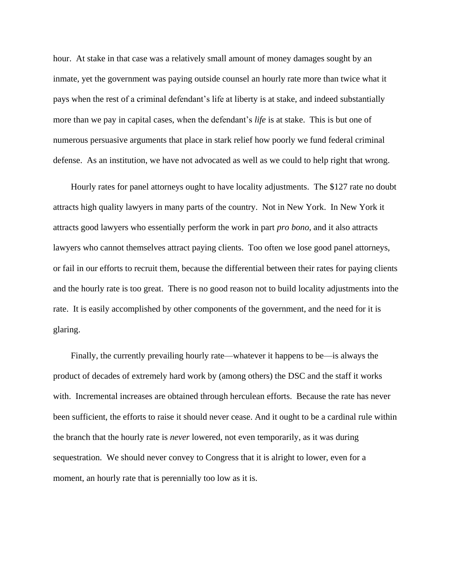hour. At stake in that case was a relatively small amount of money damages sought by an inmate, yet the government was paying outside counsel an hourly rate more than twice what it pays when the rest of a criminal defendant's life at liberty is at stake, and indeed substantially more than we pay in capital cases, when the defendant's *life* is at stake. This is but one of numerous persuasive arguments that place in stark relief how poorly we fund federal criminal defense. As an institution, we have not advocated as well as we could to help right that wrong.

 Hourly rates for panel attorneys ought to have locality adjustments. The \$127 rate no doubt attracts high quality lawyers in many parts of the country. Not in New York. In New York it attracts good lawyers who essentially perform the work in part *pro bono*, and it also attracts lawyers who cannot themselves attract paying clients. Too often we lose good panel attorneys, or fail in our efforts to recruit them, because the differential between their rates for paying clients and the hourly rate is too great. There is no good reason not to build locality adjustments into the rate. It is easily accomplished by other components of the government, and the need for it is glaring.

 Finally, the currently prevailing hourly rate—whatever it happens to be—is always the product of decades of extremely hard work by (among others) the DSC and the staff it works with. Incremental increases are obtained through herculean efforts. Because the rate has never been sufficient, the efforts to raise it should never cease. And it ought to be a cardinal rule within the branch that the hourly rate is *never* lowered, not even temporarily, as it was during sequestration. We should never convey to Congress that it is alright to lower, even for a moment, an hourly rate that is perennially too low as it is.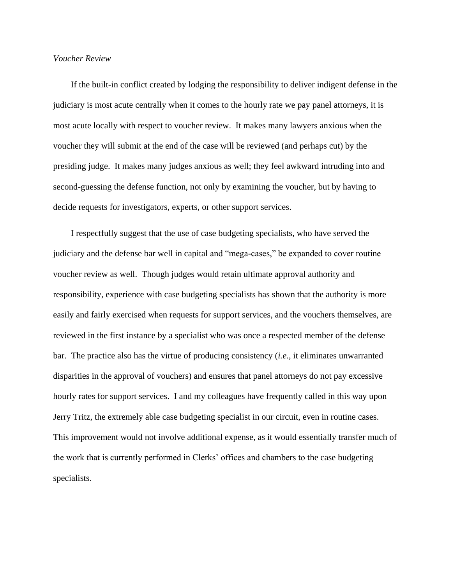## *Voucher Review*

 If the built-in conflict created by lodging the responsibility to deliver indigent defense in the judiciary is most acute centrally when it comes to the hourly rate we pay panel attorneys, it is most acute locally with respect to voucher review. It makes many lawyers anxious when the voucher they will submit at the end of the case will be reviewed (and perhaps cut) by the presiding judge. It makes many judges anxious as well; they feel awkward intruding into and second-guessing the defense function, not only by examining the voucher, but by having to decide requests for investigators, experts, or other support services.

 I respectfully suggest that the use of case budgeting specialists, who have served the judiciary and the defense bar well in capital and "mega-cases," be expanded to cover routine voucher review as well. Though judges would retain ultimate approval authority and responsibility, experience with case budgeting specialists has shown that the authority is more easily and fairly exercised when requests for support services, and the vouchers themselves, are reviewed in the first instance by a specialist who was once a respected member of the defense bar. The practice also has the virtue of producing consistency (*i.e.*, it eliminates unwarranted disparities in the approval of vouchers) and ensures that panel attorneys do not pay excessive hourly rates for support services. I and my colleagues have frequently called in this way upon Jerry Tritz, the extremely able case budgeting specialist in our circuit, even in routine cases. This improvement would not involve additional expense, as it would essentially transfer much of the work that is currently performed in Clerks' offices and chambers to the case budgeting specialists.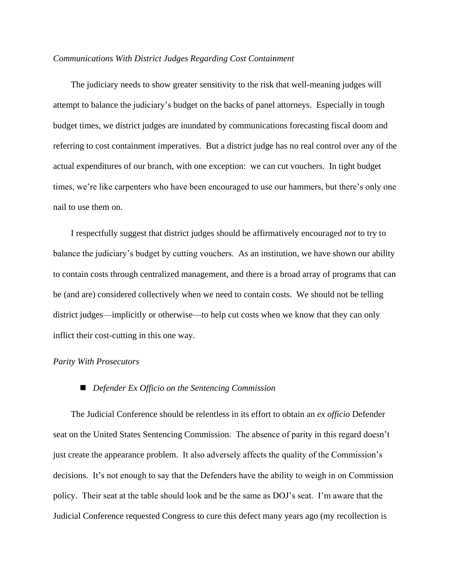#### *Communications With District Judges Regarding Cost Containment*

 The judiciary needs to show greater sensitivity to the risk that well-meaning judges will attempt to balance the judiciary's budget on the backs of panel attorneys. Especially in tough budget times, we district judges are inundated by communications forecasting fiscal doom and referring to cost containment imperatives. But a district judge has no real control over any of the actual expenditures of our branch, with one exception: we can cut vouchers. In tight budget times, we're like carpenters who have been encouraged to use our hammers, but there's only one nail to use them on.

 I respectfully suggest that district judges should be affirmatively encouraged *not* to try to balance the judiciary's budget by cutting vouchers. As an institution, we have shown our ability to contain costs through centralized management, and there is a broad array of programs that can be (and are) considered collectively when we need to contain costs. We should not be telling district judges—implicitly or otherwise—to help cut costs when we know that they can only inflict their cost-cutting in this one way.

### *Parity With Prosecutors*

#### ■ *Defender Ex Officio on the Sentencing Commission*

 The Judicial Conference should be relentless in its effort to obtain an *ex officio* Defender seat on the United States Sentencing Commission. The absence of parity in this regard doesn't just create the appearance problem. It also adversely affects the quality of the Commission's decisions. It's not enough to say that the Defenders have the ability to weigh in on Commission policy. Their seat at the table should look and be the same as DOJ's seat. I'm aware that the Judicial Conference requested Congress to cure this defect many years ago (my recollection is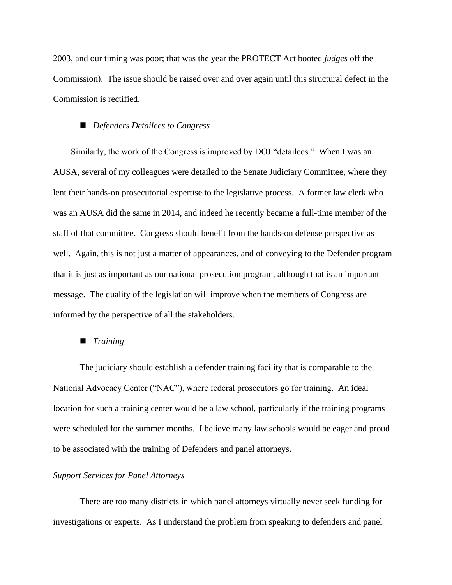2003, and our timing was poor; that was the year the PROTECT Act booted *judges* off the Commission). The issue should be raised over and over again until this structural defect in the Commission is rectified.

## *Defenders Detailees to Congress*

 Similarly, the work of the Congress is improved by DOJ "detailees." When I was an AUSA, several of my colleagues were detailed to the Senate Judiciary Committee, where they lent their hands-on prosecutorial expertise to the legislative process. A former law clerk who was an AUSA did the same in 2014, and indeed he recently became a full-time member of the staff of that committee. Congress should benefit from the hands-on defense perspective as well. Again, this is not just a matter of appearances, and of conveying to the Defender program that it is just as important as our national prosecution program, although that is an important message. The quality of the legislation will improve when the members of Congress are informed by the perspective of all the stakeholders.

## *Training*

The judiciary should establish a defender training facility that is comparable to the National Advocacy Center ("NAC"), where federal prosecutors go for training. An ideal location for such a training center would be a law school, particularly if the training programs were scheduled for the summer months. I believe many law schools would be eager and proud to be associated with the training of Defenders and panel attorneys.

## *Support Services for Panel Attorneys*

There are too many districts in which panel attorneys virtually never seek funding for investigations or experts. As I understand the problem from speaking to defenders and panel